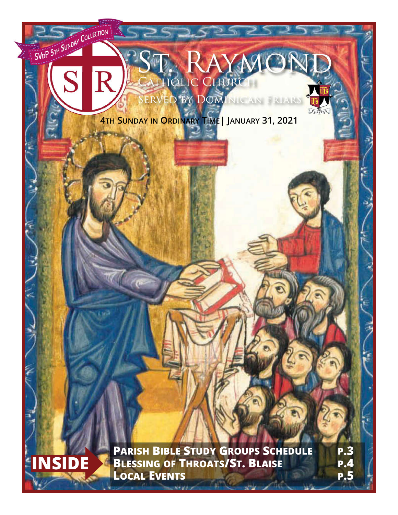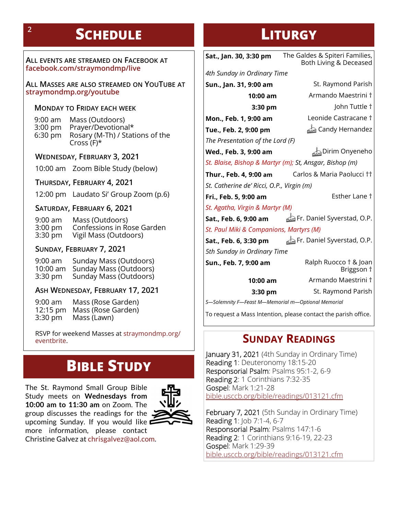# **SCHEDULE LITURGY**

**ALL EVENTS ARE STREAMED ON FACEBOOK AT facebook.com/straymondmp/live**

**ALL MASSES ARE ALSO STREAMED ON YOUTUBE AT straymondmp.org/youtube**

#### **MONDAY TO FRIDAY EACH WEEK**

9:00 am Mass (Outdoors) 3:00 pm Prayer/Devotional\*<br>6:30 pm Rosary (M-Th) / Stat Rosary (M-Th) / Stations of the Cross (F)\*

#### **WEDNESDAY, FEBRUARY 3, 2021**

10:00 am Zoom Bible Study (below)

**THURSDAY, FEBRUARY 4, 2021**

12:00 pm Laudato Si' Group Zoom (p.6)

**SATURDAY, FEBRUARY 6, 2021**

9:00 am Mass (Outdoors) 3:00 pm Confessions in Rose Garden 3:30 pm Vigil Mass (Outdoors)

#### **SUNDAY, FEBRUARY 7, 2021**

9:00 am Sunday Mass (Outdoors) 10:00 am Sunday Mass (Outdoors) 3:30 pm Sunday Mass (Outdoors)

### **ASH WEDNESDAY, FEBRUARY 17, 2021**

9:00 am Mass (Rose Garden) 12:15 pm Mass (Rose Garden)<br>3:30 pm Mass (Lawn) Mass (Lawn)

RSVP for weekend Masses at straymondmp.org/ eventbrite.

# **BIBLE STUDY**

The St. Raymond Small Group Bible Study meets on **Wednesdays from 10:00 am to 11:30 am** on Zoom. The group discusses the readings for the  $\ddot{\phantom{1}}$ upcoming Sunday. If you would like more information, please contact Christine Galvez at chrisgalvez@aol.com.



**Sat., Jan. 30, 3:30 pm** The Galdes & Spiteri Families, Both Living & Deceased *4th Sunday in Ordinary Time* **Sun., Jan. 31, 9:00 am** St. Raymond Parish **10:00 am** Armando Maestrini † **3:30 pm** John Tuttle † **Mon., Feb. 1, 9:00 am** Leonide Castracane † **Tue., Feb. 2, 9:00 pm** Candy Hernandez *The Presentation of the Lord (F)* **Wed., Feb. 3, 9:00 am** Dirim Onyeneho *St. Blaise, Bishop & Martyr (m); St, Ansgar, Bishop (m)* **Thur., Feb. 4, 9:00 am** Carlos & Maria Paolucci †† *St. Catherine de' Ricci, O.P., Virgin (m)* **Fri., Feb. 5, 9:00 am** Esther Lane † **Sat., Feb. 6, 9:00 am**  $\triangleq$  Fr. Daniel Syverstad, O.P. *St. Paul Miki & Companions, Martyrs (M)* **Sat., Feb. 6, 3:30 pm**  $\qquad \qquad \triangleq$  Fr. Daniel Syverstad, O.P. *5th Sunday in Ordinary Time* **Sun., Feb. 7, 9:00 am** Ralph Ruocco † & Joan Briggson † **10:00 am** Armando Maestrini † **3:30 pm** St. Raymond Parish *St. Agatha, Virgin & Martyr (M)*

*S—Solemnity F—Feast M—Memorial m—Optional Memorial*

To request a Mass Intention, please contact the parish office.

# **SUNDAY READINGS**

January 31, 2021 (4th Sunday in Ordinary Time) Reading 1: Deuteronomy 18:15-20 Responsorial Psalm: Psalms 95:1-2, 6-9 Reading 2: 1 Corinthians 7:32-35 Gospel: Mark 1:21-28 bible.usccb.org/bible/readings/013121.cfm

February 7, 2021 (5th Sunday in Ordinary Time) Reading 1: Job 7:1-4, 6-7 Responsorial Psalm: Psalms 147:1-6 Reading 2: 1 Corinthians 9:16-19, 22-23 Gospel: Mark 1:29-39 bible.usccb.org/bible/readings/013121.cfm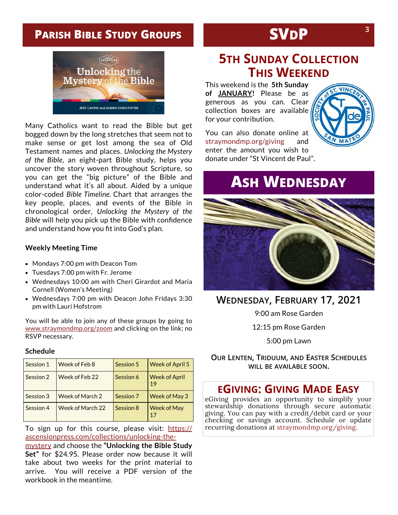# **PARISH BIBLE STUDY GROUPS**



Many Catholics want to read the Bible but get bogged down by the long stretches that seem not to make sense or get lost among the sea of Old Testament names and places. *Unlocking the Mystery of the Bible*, an eight-part Bible study, helps you uncover the story woven throughout Scripture, so you can get the "big picture" of the Bible and understand what it's all about. Aided by a unique color-coded *Bible Timeline.* Chart that arranges the key people, places, and events of the Bible in chronological order, *Unlocking the Mystery of the Bible* will help you pick up the Bible with confidence and understand how you fit into God's plan.

#### **Weekly Meeting Time**

- Mondays 7:00 pm with Deacon Tom
- Tuesdays 7:00 pm with Fr. Jerome
- Wednesdays 10:00 am with Cheri Girardot and Maria Cornell (Women's Meeting)
- Wednesdays 7:00 pm with Deacon John Fridays 3:30 pm with Lauri Hofstrom

You will be able to join any of these groups by going to www.straymondmp.org/zoom and clicking on the link; no RSVP necessary.

#### **Schedule**

| <b>Session 1</b> | Week of Feb 8    | Session 5 | <b>Week of April 5</b>     |
|------------------|------------------|-----------|----------------------------|
| <b>Session 2</b> | Week of Feb 22   | Session 6 | <b>Week of April</b><br>19 |
| <b>Session 3</b> | Week of March 2  | Session 7 | <b>Week of May 3</b>       |
| Session 4        | Week of March 22 | Session 8 | <b>Week of May</b><br>17   |

To sign up for this course, please visit: https:// ascensionpress.com/collections/unlocking-the-

mystery and choose the **"Unlocking the Bible Study Set"** for \$24.95. Please order now because it will take about two weeks for the print material to arrive. You will receive a PDF version of the workbook in the meantime.

# **SVDP**

# **5TH SUNDAY COLLECTION THIS WEEKEND**

This weekend is the **5th Sunday of JANUARY!** Please be as generous as you can. Clear collection boxes are available for your contribution.



You can also donate online at straymondmp.org/giving and enter the amount you wish to donate under "St Vincent de Paul".

# **ASH WEDNESDAY**



### **WEDNESDAY, FEBRUARY 17, 2021**

9:00 am Rose Garden

12:15 pm Rose Garden

5:00 pm Lawn

**OUR LENTEN, TRIDUUM, AND EASTER SCHEDULES WILL BE AVAILABLE SOON.** 

### **EGIVING: GIVING MADE EASY**

eGiving provides an opportunity to simplify your stewardship donations through secure automatic giving. You can pay with a credit/debit card or your checking or savings account. Schedule or update recurring donations at straymondmp.org/giving.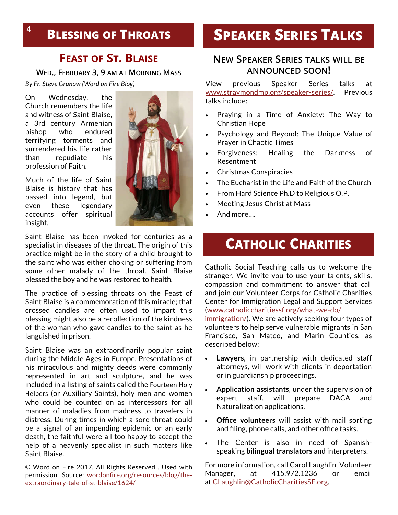# **BLESSING OF THROATS <sup>4</sup>**

## **FEAST OF ST. BLAISE**

**WED., FEBRUARY 3, 9 AM AT MORNING MASS**

*By Fr. Steve Grunow (Word on Fire Blog)*

On Wednesday, the Church remembers the life and witness of Saint Blaise, a 3rd century Armenian bishop who endured terrifying torments and surrendered his life rather than repudiate his profession of Faith.

Much of the life of Saint Blaise is history that has passed into legend, but even these legendary accounts offer spiritual insight.



Saint Blaise has been invoked for centuries as a specialist in diseases of the throat. The origin of this practice might be in the story of a child brought to the saint who was either choking or suffering from some other malady of the throat. Saint Blaise blessed the boy and he was restored to health.

The practice of blessing throats on the Feast of Saint Blaise is a commemoration of this miracle; that crossed candles are often used to impart this blessing might also be a recollection of the kindness of the woman who gave candles to the saint as he languished in prison.

Saint Blaise was an extraordinarily popular saint during the Middle Ages in Europe. Presentations of his miraculous and mighty deeds were commonly represented in art and sculpture, and he was included in a listing of saints called the Fourteen Holy Helpers (or Auxiliary Saints), holy men and women who could be counted on as intercessors for all manner of maladies from madness to travelers in distress. During times in which a sore throat could be a signal of an impending epidemic or an early death, the faithful were all too happy to accept the help of a heavenly specialist in such matters like Saint Blaise.

© Word on Fire 2017. All Rights Reserved . Used with permission. Source: wordonfire.org/resources/blog/theextraordinary-tale-of-st-blaise/1624/

# **SPEAKER SERIES TALKS**

### **NEW SPEAKER SERIES TALKS WILL BE ANNOUNCED SOON!**

View previous Speaker Series talks at www.straymondmp.org/speaker-series/. Previous talks include:

- Praying in a Time of Anxiety: The Way to Christian Hope
- Psychology and Beyond: The Unique Value of Prayer in Chaotic Times
- Forgiveness: Healing the Darkness of Resentment
- Christmas Conspiracies
- The Eucharist in the Life and Faith of the Church
- From Hard Science Ph.D to Religious O.P.
- Meeting Jesus Christ at Mass
- And more….

# **CATHOLIC CHARITIES**

Catholic Social Teaching calls us to welcome the stranger. We invite you to use your talents, skills, compassion and commitment to answer that call and join our Volunteer Corps for Catholic Charities Center for Immigration Legal and Support Services (www.catholiccharitiessf.org/what-we-do/

immigration/). We are actively seeking four types of volunteers to help serve vulnerable migrants in San Francisco, San Mateo, and Marin Counties, as described below:

- **Lawyers**, in partnership with dedicated staff attorneys, will work with clients in deportation or in guardianship proceedings.
- **Application assistants**, under the supervision of expert staff, will prepare DACA and Naturalization applications.
- **Office volunteers** will assist with mail sorting and filing, phone calls, and other office tasks.
- The Center is also in need of Spanishspeaking **bilingual translators** and interpreters.

For more information, call Carol Laughlin, Volunteer Manager, at 415.972.1236 or email at CLaughlin@CatholicCharitiesSF.org.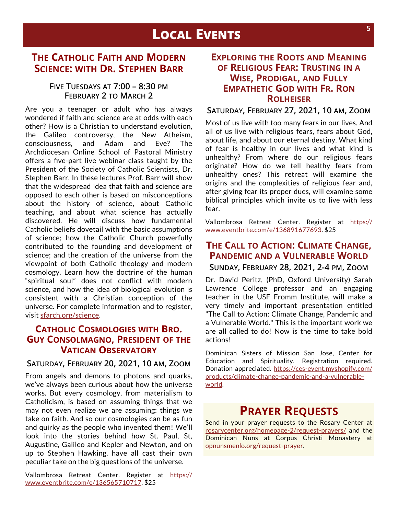# **LOCAL EVENTS**

### **THE CATHOLIC FAITH AND MODERN SCIENCE: WITH DR. STEPHEN BARR**

### **FIVE TUESDAYS AT 7:00 – 8:30 PM FEBRUARY 2 TO MARCH 2**

Are you a teenager or adult who has always wondered if faith and science are at odds with each other? How is a Christian to understand evolution, the Galileo controversy, the New Atheism, consciousness, and Adam and Eve? The Archdiocesan Online School of Pastoral Ministry offers a five-part live webinar class taught by the President of the Society of Catholic Scientists, Dr. Stephen Barr. In these lectures Prof. Barr will show that the widespread idea that faith and science are opposed to each other is based on misconceptions about the history of science, about Catholic teaching, and about what science has actually discovered. He will discuss how fundamental Catholic beliefs dovetail with the basic assumptions of science; how the Catholic Church powerfully contributed to the founding and development of science; and the creation of the universe from the viewpoint of both Catholic theology and modern cosmology. Learn how the doctrine of the human "spiritual soul" does not conflict with modern science, and how the idea of biological evolution is consistent with a Christian conception of the universe. For complete information and to register, visit sfarch.org/science.

### **CATHOLIC COSMOLOGIES WITH BRO. GUY CONSOLMAGNO, PRESIDENT OF THE VATICAN OBSERVATORY**

#### **SATURDAY, FEBRUARY 20, 2021, 10 AM, ZOOM**

From angels and demons to photons and quarks, we've always been curious about how the universe works. But every cosmology, from materialism to Catholicism, is based on assuming things that we may not even realize we are assuming: things we take on faith. And so our cosmologies can be as fun and quirky as the people who invented them! We'll look into the stories behind how St. Paul, St, Augustine, Galileo and Kepler and Newton, and on up to Stephen Hawking, have all cast their own peculiar take on the big questions of the universe.

Vallombrosa Retreat Center. Register at https:// www.eventbrite.com/e/136565710717. \$25

### **EXPLORING THE ROOTS AND MEANING OF RELIGIOUS FEAR: TRUSTING IN A WISE, PRODIGAL, AND FULLY EMPATHETIC GOD WITH FR. RON ROLHEISER**

**SATURDAY, FEBRUARY 27, 2021, 10 AM, ZOOM**

Most of us live with too many fears in our lives. And all of us live with religious fears, fears about God, about life, and about our eternal destiny. What kind of fear is healthy in our lives and what kind is unhealthy? From where do our religious fears originate? How do we tell healthy fears from unhealthy ones? This retreat will examine the origins and the complexities of religious fear and, after giving fear its proper dues, will examine some biblical principles which invite us to live with less fear.

Vallombrosa Retreat Center. Register at https:// www.eventbrite.com/e/136891677693. \$25

# **THE CALL TO ACTION: CLIMATE CHANGE, PANDEMIC AND A VULNERABLE WORLD**

**SUNDAY, FEBRUARY 28, 2021, 2-4 PM, ZOOM**

Dr. David Peritz, (PhD, Oxford University) Sarah Lawrence College professor and an engaging teacher in the USF Fromm Institute, will make a very timely and important presentation entitled "The Call to Action: Climate Change, Pandemic and a Vulnerable World." This is the important work we are all called to do! Now is the time to take bold actions!

Dominican Sisters of Mission San Jose, Center for Education and Spirituality. Registration required. Donation appreciated. https://ces-event.myshopify.com/ products/climate-change-pandemic-and-a-vulnerableworld.

# **PRAYER REQUESTS**

Send in your prayer requests to the Rosary Center at rosarycenter.org/homepage-2/request-prayers/ and the Dominican Nuns at Corpus Christi Monastery at opnunsmenlo.org/request-prayer.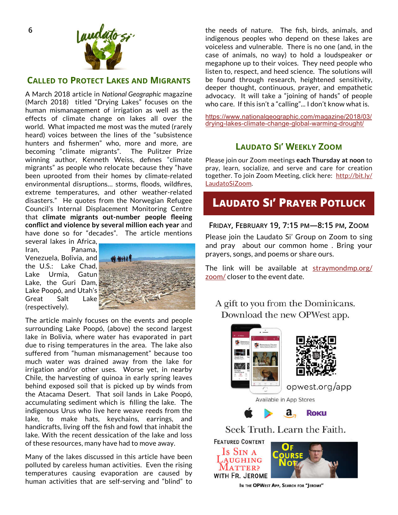

#### **CALLED TO PROTECT LAKES AND MIGRANTS**

A March 2018 article in *National Geographic* magazine (March 2018) titled "Drying Lakes" focuses on the human mismanagement of irrigation as well as the effects of climate change on lakes all over the world. What impacted me most was the muted (rarely heard) voices between the lines of the "subsistence hunters and fishermen" who, more and more, are becoming "climate migrants". The Pulitzer Prize winning author, Kenneth Weiss, defines "climate migrants" as people who relocate because they "have been uprooted from their homes by climate-related environmental disruptions… storms, floods, wildfires, extreme temperatures, and other weather-related disasters." He quotes from the Norwegian Refugee Council's Internal Displacement Monitoring Centre that **climate migrants out-number people fleeing conflict and violence by several million each year** and have done so for "decades". The article mentions

several lakes in Africa, Iran, Panama, Venezuela, Bolivia, and the U.S.: Lake Chad, Lake Urmia, Gatun Lake, the Guri Dam, Lake Poopó, and Utah's Great Salt Lake (respectively).



The article mainly focuses on the events and people surrounding Lake Poopó, (above) the second largest lake in Bolivia, where water has evaporated in part due to rising temperatures in the area. The lake also suffered from "human mismanagement" because too much water was drained away from the lake for irrigation and/or other uses. Worse yet, in nearby Chile, the harvesting of quinoa in early spring leaves behind exposed soil that is picked up by winds from the Atacama Desert. That soil lands in Lake Poopó, accumulating sediment which is filling the lake. The indigenous Urus who live here weave reeds from the lake, to make hats, keychains, earrings, and handicrafts, living off the fish and fowl that inhabit the lake. With the recent dessication of the lake and loss of these resources, many have had to move away.

Many of the lakes discussed in this article have been polluted by careless human activities. Even the rising temperatures causing evaporation are caused by human activities that are self-serving and "blind" to the needs of nature. The fish, birds, animals, and indigenous peoples who depend on these lakes are voiceless and vulnerable. There is no one (and, in the case of animals, no way) to hold a loudspeaker or megaphone up to their voices. They need people who listen to, respect, and heed science. The solutions will be found through research, heightened sensitivity, deeper thought, continuous, prayer, and empathetic advocacy. It will take a "joining of hands" of people who care. If this isn't a "calling"... I don't know what is.

https://www.nationalgeographic.com/magazine/2018/03/ drying-lakes-climate-change-global-warming-drought/

### **LAUDATO SI' WEEKLY ZOOM**

Please join our Zoom meetings **each Thursday at noon** to pray, learn, socialize, and serve and care for creation together. To join Zoom Meeting, click here: http://bit.ly/ LaudatoSiZoom.

## **LAUDATO SI' PRAYER POTLUCK**

#### **FRIDAY, FEBRUARY 19, 7:15 PM—8:15 PM, ZOOM**

Please join the Laudato Si' Group on Zoom to sing and pray about our common home . Bring your prayers, songs, and poems or share ours.

The link will be available at straymondmp.org/ zoom/ closer to the event date.

A gift to you from the Dominicans. Download the new OPWest app.





opwest.org/app

Available in App Stores



Seek Truth. Learn the Faith.

**FEATURED CONTENT** 





IN THE OPWEST APP, SEARCH FOR "JEROME"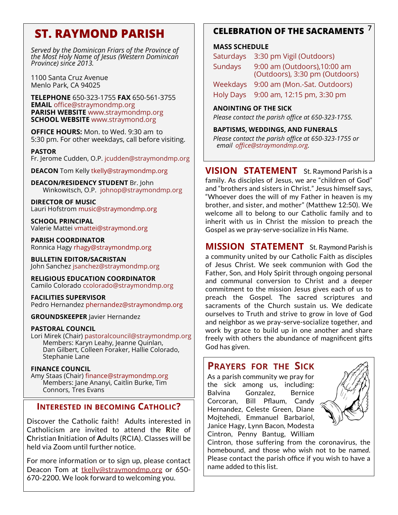# **ST. RAYMOND PARISH**

*Served by the Dominican Friars of the Province of the Most Holy Name of Jesus (Western Dominican Province) since 2013.*

1100 Santa Cruz Avenue Menlo Park, CA 94025

**TELEPHONE** 650-323-1755 **FAX** 650-561-3755 **EMAIL** office@straymondmp.org **PARISH WEBSITE** www.straymondmp.org **SCHOOL WEBSITE** www.straymond.org

**OFFICE HOURS:** Mon. to Wed. 9:30 am to 5:30 pm. For other weekdays, call before visiting.

**PASTOR** Fr. Jerome Cudden, O.P. jcudden@straymondmp.org

**DEACON** Tom Kelly tkelly@straymondmp.org

**DEACON/RESIDENCY STUDENT** Br. John Winkowitsch, O.P. johnop@straymondmp.org

**DIRECTOR OF MUSIC** Lauri Hofstrom music@straymondmp.org

**SCHOOL PRINCIPAL** Valerie Mattei vmattei@straymond.org

**PARISH COORDINATOR** Ronnica Hagy rhagy@straymondmp.org

**BULLETIN EDITOR/SACRISTAN** John Sanchez jsanchez@straymondmp.org

**RELIGIOUS EDUCATION COORDINATOR** Camilo Colorado ccolorado@straymondmp.org

**FACILITIES SUPERVISOR** Pedro Hernandez phernandez@straymondmp.org

**GROUNDSKEEPER** Javier Hernandez

#### **PASTORAL COUNCIL**

Lori Mirek (Chair) pastoralcouncil@straymondmp.org Members: Karyn Leahy, Jeanne Quinlan, Dan Gilbert, Colleen Foraker, Hallie Colorado, Stephanie Lane

#### **FINANCE COUNCIL**

Amy Staas (Chair) finance@straymondmp.org Members: Jane Ananyi, Caitlin Burke, Tim Connors, Tres Evans

### **INTERESTED IN BECOMING CATHOLIC?**

Discover the Catholic faith! Adults interested in Catholicism are invited to attend the **R**ite of **C**hristian **I**nitiation of **A**dults (RCIA). Classes will be held via Zoom until further notice.

For more information or to sign up, please contact Deacon Tom at tkelly@straymondmp.org or 650- 670-2200. We look forward to welcoming you.

### **CELEBRATION OF THE SACRAMENTS 7**

#### **MASS SCHEDULE**

| Saturdays      | 3:30 pm Vigil (Outdoors)                                       |
|----------------|----------------------------------------------------------------|
| <b>Sundays</b> | 9:00 am (Outdoors), 10:00 am<br>(Outdoors), 3:30 pm (Outdoors) |
| Weekdays       | 9:00 am (Mon.-Sat. Outdoors)                                   |
|                | Holy Days 9:00 am, 12:15 pm, 3:30 pm                           |
|                |                                                                |

#### **ANOINTING OF THE SICK**

*Please contact the parish office at 650-323-1755.* 

**BAPTISMS, WEDDINGS, AND FUNERALS** 

*Please contact the parish office at 650-323-1755 or email office@straymondmp.org.*

**VISION STATEMENT** St. Raymond Parish is a family. As disciples of Jesus, we are "children of God" and "brothers and sisters in Christ." Jesus himself says, "Whoever does the will of my Father in heaven is my brother, and sister, and mother" (Matthew 12:50). We welcome all to belong to our Catholic family and to inherit with us in Christ the mission to preach the Gospel as we pray-serve-socialize in His Name.

**MISSION STATEMENT** St. Raymond Parish is a community united by our Catholic Faith as disciples of Jesus Christ. We seek communion with God the Father, Son, and Holy Spirit through ongoing personal and communal conversion to Christ and a deeper commitment to the mission Jesus gives each of us to preach the Gospel. The sacred scriptures and sacraments of the Church sustain us. We dedicate ourselves to Truth and strive to grow in love of God and neighbor as we pray-serve-socialize together, and work by grace to build up in one another and share freely with others the abundance of magnificent gifts God has given.

### **PRAYERS FOR THE SICK**

As a parish community we pray for the sick among us, including: Balvina Gonzalez, Bernice Corcoran, Bill Pflaum, Candy Hernandez, Celeste Green, Diane Mojtehedi, Emmanuel Barbariol, Janice Hagy, Lynn Bacon, Modesta Cintron, Penny Bantug, William



Cintron, those suffering from the coronavirus, the homebound, and those who wish not to be nam*ed*. Please contact the parish office if you wish to have a name added to this list.